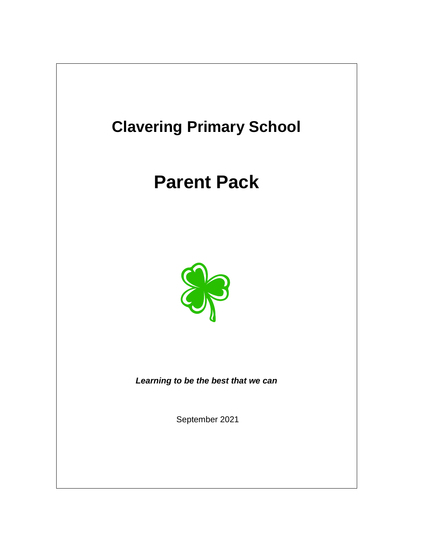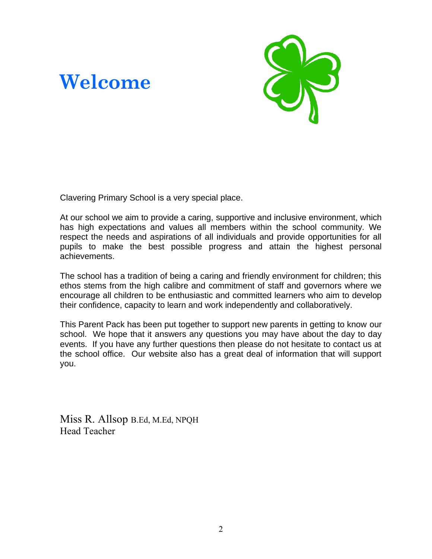# **Welcome**

![](_page_1_Picture_1.jpeg)

Clavering Primary School is a very special place.

At our school we aim to provide a caring, supportive and inclusive environment, which has high expectations and values all members within the school community. We respect the needs and aspirations of all individuals and provide opportunities for all pupils to make the best possible progress and attain the highest personal achievements.

The school has a tradition of being a caring and friendly environment for children; this ethos stems from the high calibre and commitment of staff and governors where we encourage all children to be enthusiastic and committed learners who aim to develop their confidence, capacity to learn and work independently and collaboratively.

This Parent Pack has been put together to support new parents in getting to know our school. We hope that it answers any questions you may have about the day to day events. If you have any further questions then please do not hesitate to contact us at the school office. Our website also has a great deal of information that will support you.

Miss R. Allsop B.Ed, M.Ed, NPQH Head Teacher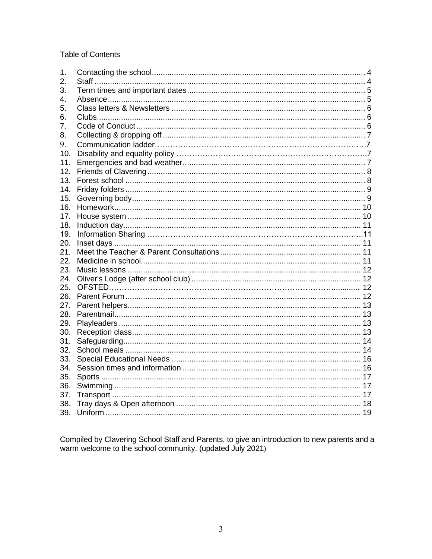#### **Table of Contents**

| 1.  |  |
|-----|--|
| 2.  |  |
| 3.  |  |
| 4.  |  |
| 5.  |  |
| 6.  |  |
| 7.  |  |
| 8.  |  |
| 9.  |  |
| 10. |  |
| 11. |  |
| 12. |  |
| 13. |  |
| 14. |  |
| 15. |  |
| 16. |  |
| 17. |  |
| 18. |  |
| 19. |  |
| 20. |  |
| 21. |  |
| 22. |  |
| 23. |  |
| 24. |  |
| 25. |  |
| 26. |  |
| 27. |  |
| 28. |  |
| 29. |  |
| 30. |  |
| 31. |  |
| 32. |  |
| 33. |  |
| 34. |  |
| 35. |  |
| 36. |  |
| 37. |  |
| 38. |  |
| 39. |  |

Compiled by Clavering School Staff and Parents, to give an introduction to new parents and a warm welcome to the school community. (updated July 2021)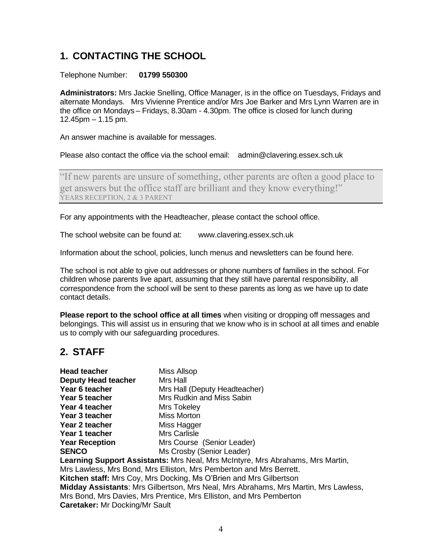# <span id="page-3-0"></span>**1. CONTACTING THE SCHOOL**

#### Telephone Number: **01799 550300**

**Administrators:** Mrs Jackie Snelling, Office Manager, is in the office on Tuesdays, Fridays and alternate Mondays. Mrs Vivienne Prentice and/or Mrs Joe Barker and Mrs Lynn Warren are in the office on Mondays – Fridays, 8.30am - 4.30pm. The office is closed for lunch during 12.45pm – 1.15 pm.

An answer machine is available for messages.

Please also contact the office via the school email: [admin@clavering.essex.sch.uk](mailto:admin@clavering.essex.sch.uk)

"If new parents are unsure of something, other parents are often a good place to get answers but the office staff are brilliant and they know everything!" YEARS RECEPTION, 2 & 3 PARENT

For any appointments with the Headteacher, please contact the school office.

The school website can be found at: [www.clavering.essex.sch.uk](http://www.clavering.essex.sch.uk/)

Information about the school, policies, lunch menus and newsletters can be found here.

The school is not able to give out addresses or phone numbers of families in the school. For children whose parents live apart, assuming that they still have parental responsibility, all correspondence from the school will be sent to these parents as long as we have up to date contact details.

**Please report to the school office at all times** when visiting or dropping off messages and belongings. This will assist us in ensuring that we know who is in school at all times and enable us to comply with our safeguarding procedures.

### **2. STAFF**

| Head teacher                                                                        | Miss Allsop                   |  |  |
|-------------------------------------------------------------------------------------|-------------------------------|--|--|
| <b>Deputy Head teacher</b>                                                          | Mrs Hall                      |  |  |
| Year 6 teacher                                                                      | Mrs Hall (Deputy Headteacher) |  |  |
| Year 5 teacher                                                                      | Mrs Rudkin and Miss Sabin     |  |  |
| Year 4 teacher                                                                      | Mrs Tokeley                   |  |  |
| Year 3 teacher                                                                      | Miss Morton                   |  |  |
| Year 2 teacher                                                                      | Miss Hagger                   |  |  |
| Year 1 teacher                                                                      | Mrs Carlisle                  |  |  |
| <b>Year Reception</b>                                                               | Mrs Course (Senior Leader)    |  |  |
| SENCO                                                                               | Ms Crosby (Senior Leader)     |  |  |
| Learning Support Assistants: Mrs Neal, Mrs McIntyre, Mrs Abrahams, Mrs Martin,      |                               |  |  |
| Mrs Lawless, Mrs Bond, Mrs Elliston, Mrs Pemberton and Mrs Berrett.                 |                               |  |  |
| Kitchen staff: Mrs Coy, Mrs Docking, Ms O'Brien and Mrs Gilbertson                  |                               |  |  |
| Midday Assistants: Mrs Gilbertson, Mrs Neal, Mrs Abrahams, Mrs Martin, Mrs Lawless, |                               |  |  |
| Mrs Bond, Mrs Davies, Mrs Prentice, Mrs Elliston, and Mrs Pemberton                 |                               |  |  |
| <b>Caretaker:</b> Mr Docking/Mr Sault                                               |                               |  |  |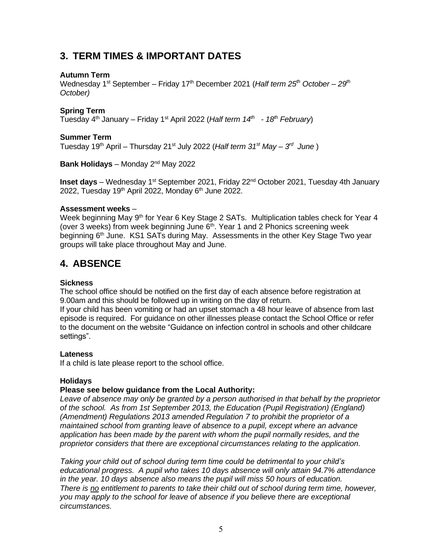### **3. TERM TIMES & IMPORTANT DATES**

#### **Autumn Term**

Wednesday 1<sup>st</sup> September – Friday 17<sup>th</sup> December 2021 (*Half term 25<sup>th</sup> October – 29<sup>th</sup> October)*

#### **Spring Term**

Tuesday 4 th January – Friday 1st April 2022 (*Half term 14th - 18th February*)

#### **Summer Term**

Tuesday 19th April – Thursday 21st July 2022 (*Half term 31st May – 3 rd June* )

**Bank Holidays** – Monday 2nd May 2022

**Inset days** – Wednesday 1<sup>st</sup> September 2021, Friday 22<sup>nd</sup> October 2021, Tuesday 4th January 2022, Tuesday 19<sup>th</sup> April 2022, Monday  $6<sup>th</sup>$  June 2022.

#### **Assessment weeks** –

Week beginning May 9<sup>th</sup> for Year 6 Key Stage 2 SATs. Multiplication tables check for Year 4 (over 3 weeks) from week beginning June  $6<sup>th</sup>$ . Year 1 and 2 Phonics screening week beginning 6<sup>th</sup> June. KS1 SATs during May. Assessments in the other Key Stage Two year groups will take place throughout May and June.

#### <span id="page-4-0"></span>**4. ABSENCE**

#### **Sickness**

The school office should be notified on the first day of each absence before registration at 9.00am and this should be followed up in writing on the day of return.

If your child has been vomiting or had an upset stomach a 48 hour leave of absence from last episode is required. For guidance on other illnesses please contact the School Office or refer to the document on the website "Guidance on infection control in schools and other childcare settings".

#### **Lateness**

If a child is late please report to the school office.

#### **Holidays**

#### **Please see below guidance from the Local Authority:**

*Leave of absence may only be granted by a person authorised in that behalf by the proprietor of the school. As from 1st September 2013, the Education (Pupil Registration) (England) (Amendment) Regulations 2013 amended Regulation 7 to prohibit the proprietor of a maintained school from granting leave of absence to a pupil, except where an advance application has been made by the parent with whom the pupil normally resides, and the proprietor considers that there are exceptional circumstances relating to the application.* 

*Taking your child out of school during term time could be detrimental to your child's educational progress. A pupil who takes 10 days absence will only attain 94.7% attendance in the year. 10 days absence also means the pupil will miss 50 hours of education. There is no entitlement to parents to take their child out of school during term time, however, you may apply to the school for leave of absence if you believe there are exceptional circumstances.*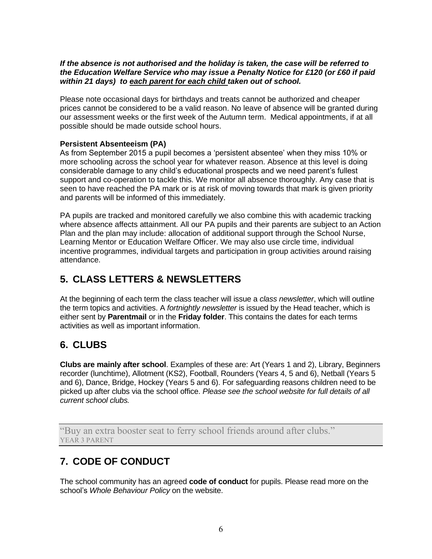#### *If the absence is not authorised and the holiday is taken, the case will be referred to the Education Welfare Service who may issue a Penalty Notice for £120 (or £60 if paid within 21 days) to each parent for each child taken out of school.*

Please note occasional days for birthdays and treats cannot be authorized and cheaper prices cannot be considered to be a valid reason. No leave of absence will be granted during our assessment weeks or the first week of the Autumn term. Medical appointments, if at all possible should be made outside school hours.

#### **Persistent Absenteeism (PA)**

As from September 2015 a pupil becomes a 'persistent absentee' when they miss 10% or more schooling across the school year for whatever reason. Absence at this level is doing considerable damage to any child's educational prospects and we need parent's fullest support and co-operation to tackle this. We monitor all absence thoroughly. Any case that is seen to have reached the PA mark or is at risk of moving towards that mark is given priority and parents will be informed of this immediately.

PA pupils are tracked and monitored carefully we also combine this with academic tracking where absence affects attainment. All our PA pupils and their parents are subject to an Action Plan and the plan may include: allocation of additional support through the School Nurse, Learning Mentor or Education Welfare Officer. We may also use circle time, individual incentive programmes, individual targets and participation in group activities around raising attendance.

### <span id="page-5-0"></span>**5. CLASS LETTERS & NEWSLETTERS**

At the beginning of each term the class teacher will issue a *class newsletter*, which will outline the term topics and activities. A *fortnightly newsletter* is issued by the Head teacher, which is either sent by **Parentmail** or in the **Friday folder**. This contains the dates for each terms activities as well as important information.

### <span id="page-5-1"></span>**6. CLUBS**

**Clubs are mainly after school**. Examples of these are: Art (Years 1 and 2), Library, Beginners recorder (lunchtime), Allotment (KS2), Football, Rounders (Years 4, 5 and 6), Netball (Years 5 and 6), Dance, Bridge, Hockey (Years 5 and 6). For safeguarding reasons children need to be picked up after clubs via the school office. *Please see the school website for full details of all current school clubs.*

"Buy an extra booster seat to ferry school friends around after clubs." YEAR 3 PARENT

### <span id="page-5-2"></span>**7. CODE OF CONDUCT**

The school community has an agreed **code of conduct** for pupils. Please read more on the school's *Whole Behaviour Policy* on the website.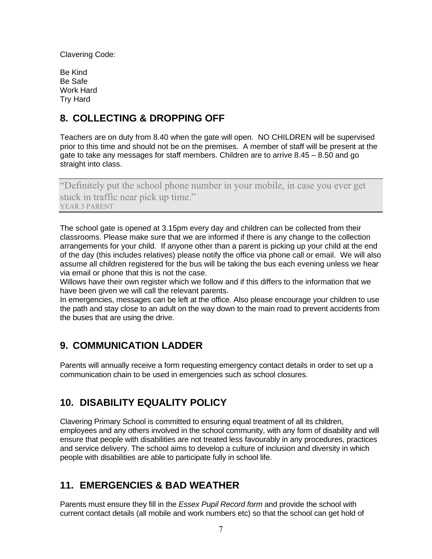Clavering Code:

Be Kind Be Safe Work Hard Try Hard

### <span id="page-6-0"></span>**8. COLLECTING & DROPPING OFF**

Teachers are on duty from 8.40 when the gate will open. NO CHILDREN will be supervised prior to this time and should not be on the premises. A member of staff will be present at the gate to take any messages for staff members. Children are to arrive 8.45 – 8.50 and go straight into class.

"Definitely put the school phone number in your mobile, in case you ever get stuck in traffic near pick up time." YEAR 3 PARENT

The school gate is opened at 3.15pm every day and children can be collected from their classrooms. Please make sure that we are informed if there is any change to the collection arrangements for your child. If anyone other than a parent is picking up your child at the end of the day (this includes relatives) please notify the office via phone call or email. We will also assume all children registered for the bus will be taking the bus each evening unless we hear via email or phone that this is not the case.

Willows have their own register which we follow and if this differs to the information that we have been given we will call the relevant parents.

In emergencies, messages can be left at the office. Also please encourage your children to use the path and stay close to an adult on the way down to the main road to prevent accidents from the buses that are using the drive.

### **9. COMMUNICATION LADDER**

Parents will annually receive a form requesting emergency contact details in order to set up a communication chain to be used in emergencies such as school closures.

### **10. DISABILITY EQUALITY POLICY**

Clavering Primary School is committed to ensuring equal treatment of all its children, employees and any others involved in the school community, with any form of disability and will ensure that people with disabilities are not treated less favourably in any procedures, practices and service delivery. The school aims to develop a culture of inclusion and diversity in which people with disabilities are able to participate fully in school life.

### <span id="page-6-1"></span>**11. EMERGENCIES & BAD WEATHER**

Parents must ensure they fill in the *Essex Pupil Record form* and provide the school with current contact details (all mobile and work numbers etc) so that the school can get hold of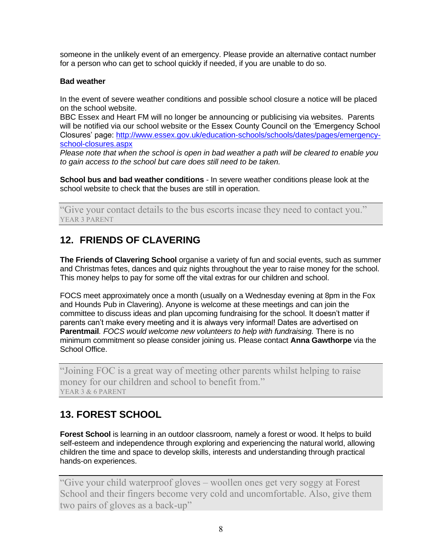someone in the unlikely event of an emergency. Please provide an alternative contact number for a person who can get to school quickly if needed, if you are unable to do so.

#### **Bad weather**

In the event of severe weather conditions and possible school closure a notice will be placed on the school website.

BBC Essex and Heart FM will no longer be announcing or publicising via websites. Parents will be notified via our school website or the Essex County Council on the 'Emergency School Closures' page: [http://www.essex.gov.uk/education-schools/schools/dates/pages/emergency](http://www.essex.gov.uk/education-schools/schools/dates/pages/emergency-school-closures.aspx)[school-closures.aspx](http://www.essex.gov.uk/education-schools/schools/dates/pages/emergency-school-closures.aspx)

*Please note that when the school is open in bad weather a path will be cleared to enable you to gain access to the school but care does still need to be taken.*

**School bus and bad weather conditions** - In severe weather conditions please look at the school website to check that the buses are still in operation.

"Give your contact details to the bus escorts incase they need to contact you." YEAR 3 PARENT

### <span id="page-7-0"></span>**12. FRIENDS OF CLAVERING**

**The Friends of Clavering School** organise a variety of fun and social events, such as summer and Christmas fetes, dances and quiz nights throughout the year to raise money for the school. This money helps to pay for some off the vital extras for our children and school.

FOCS meet approximately once a month (usually on a Wednesday evening at 8pm in the Fox and Hounds Pub in Clavering). Anyone is welcome at these meetings and can join the committee to discuss ideas and plan upcoming fundraising for the school. It doesn't matter if parents can't make every meeting and it is always very informal! Dates are advertised on **Parentmail***. FOCS would welcome new volunteers to help with fundraising.* There is no minimum commitment so please consider joining us. Please contact **Anna Gawthorpe** via the School Office.

"Joining FOC is a great way of meeting other parents whilst helping to raise money for our children and school to benefit from." YEAR 3 & 6 PARENT

# <span id="page-7-1"></span>**13. FOREST SCHOOL**

**Forest School** is learning in an outdoor classroom*,* namely a forest or wood. It helps to build self-esteem and independence through exploring and experiencing the natural world, allowing children the time and space to develop skills, interests and understanding through practical hands-on experiences.

"Give your child waterproof gloves – woollen ones get very soggy at Forest School and their fingers become very cold and uncomfortable. Also, give them two pairs of gloves as a back-up"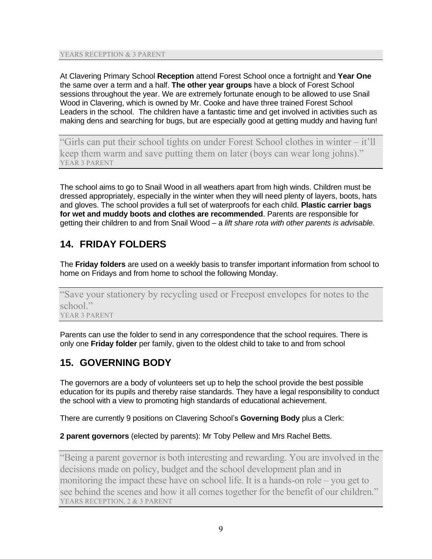YEARS RECEPTION & 3 PARENT

At Clavering Primary School **Reception** attend Forest School once a fortnight and **Year One**  the same over a term and a half. **The other year groups** have a block of Forest School sessions throughout the year. We are extremely fortunate enough to be allowed to use Snail Wood in Clavering, which is owned by Mr. Cooke and have three trained Forest School Leaders in the school. The children have a fantastic time and get involved in activities such as making dens and searching for bugs, but are especially good at getting muddy and having fun!

"Girls can put their school tights on under Forest School clothes in winter – it'll keep them warm and save putting them on later (boys can wear long johns)." YEAR 3 PARENT

The school aims to go to Snail Wood in all weathers apart from high winds. Children must be dressed appropriately, especially in the winter when they will need plenty of layers, boots, hats and gloves. The school provides a full set of waterproofs for each child. **Plastic carrier bags for wet and muddy boots and clothes are recommended**. Parents are responsible for getting their children to and from Snail Wood – a *lift share rota with other parents is advisable.* 

## <span id="page-8-0"></span>**14. FRIDAY FOLDERS**

The **Friday folders** are used on a weekly basis to transfer important information from school to home on Fridays and from home to school the following Monday.

"Save your stationery by recycling used or Freepost envelopes for notes to the school." YEAR 3 PARENT

Parents can use the folder to send in any correspondence that the school requires. There is only one **Friday folder** per family, given to the oldest child to take to and from school

### <span id="page-8-1"></span>**15. GOVERNING BODY**

The governors are a body of volunteers set up to help the school provide the best possible education for its pupils and thereby raise standards. They have a legal responsibility to conduct the school with a view to promoting high standards of educational achievement.

There are currently 9 positions on Clavering School's **Governing Body** plus a Clerk:

#### **2 parent governors** (elected by parents): Mr Toby Pellew and Mrs Rachel Betts.

"Being a parent governor is both interesting and rewarding. You are involved in the decisions made on policy, budget and the school development plan and in monitoring the impact these have on school life. It is a hands-on role – you get to see behind the scenes and how it all comes together for the benefit of our children." YEARS RECEPTION, 2 & 3 PARENT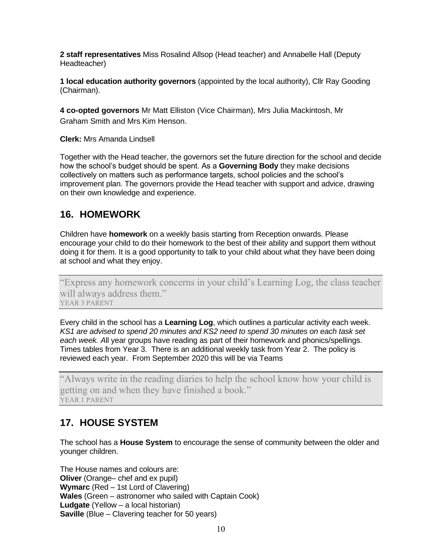**2 staff representatives** Miss Rosalind Allsop (Head teacher) and Annabelle Hall (Deputy Headteacher)

**1 local education authority governors** (appointed by the local authority), Cllr Ray Gooding (Chairman).

**4 co-opted governors** Mr Matt Elliston (Vice Chairman), Mrs Julia Mackintosh, Mr Graham Smith and Mrs Kim Henson.

**Clerk:** Mrs Amanda Lindsell

Together with the Head teacher, the governors set the future direction for the school and decide how the school's budget should be spent. As a **Governing Body** they make decisions collectively on matters such as performance targets, school policies and the school's improvement plan. The governors provide the Head teacher with support and advice, drawing on their own knowledge and experience.

#### <span id="page-9-0"></span>**16. HOMEWORK**

Children have **homework** on a weekly basis starting from Reception onwards. Please encourage your child to do their homework to the best of their ability and support them without doing it for them. It is a good opportunity to talk to your child about what they have been doing at school and what they enjoy.

"Express any homework concerns in your child's Learning Log, the class teacher will always address them." YEAR 3 PARENT

Every child in the school has a **Learning Log**, which outlines a particular activity each week. *KS1 are advised to spend 20 minutes and KS2 need to spend 30 minutes on each task set each week. A*ll year groups have reading as part of their homework and phonics/spellings. Times tables from Year 3. There is an additional weekly task from Year 2. The policy is reviewed each year. From September 2020 this will be via Teams

<span id="page-9-1"></span>"Always write in the reading diaries to help the school know how your child is getting on and when they have finished a book." YEAR 1 PARENT

### **17. HOUSE SYSTEM**

The school has a **House System** to encourage the sense of community between the older and younger children.

The House names and colours are: **Oliver** (Orange– chef and ex pupil) **Wymarc** (Red – 1st Lord of Clavering) **Wales** (Green – astronomer who sailed with Captain Cook) **Ludgate** (Yellow – a local historian) **Saville** (Blue – Clavering teacher for 50 years)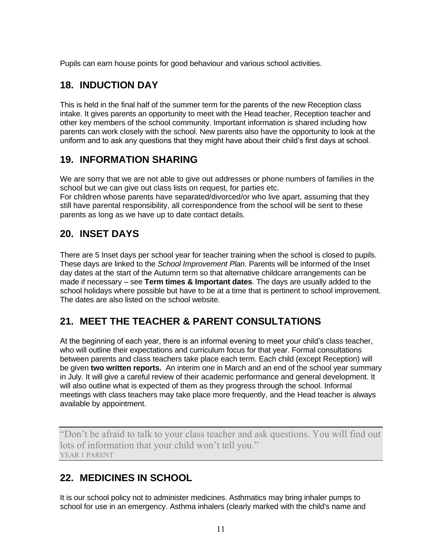Pupils can earn house points for good behaviour and various school activities.

### <span id="page-10-0"></span>**18. INDUCTION DAY**

This is held in the final half of the summer term for the parents of the new Reception class intake. It gives parents an opportunity to meet with the Head teacher, Reception teacher and other key members of the school community. Important information is shared including how parents can work closely with the school. New parents also have the opportunity to look at the uniform and to ask any questions that they might have about their child's first days at school.

## **19. INFORMATION SHARING**

We are sorry that we are not able to give out addresses or phone numbers of families in the school but we can give out class lists on request, for parties etc.

For children whose parents have separated/divorced/or who live apart, assuming that they still have parental responsibility, all correspondence from the school will be sent to these parents as long as we have up to date contact details.

### <span id="page-10-1"></span>**20. INSET DAYS**

There are 5 Inset days per school year for teacher training when the school is closed to pupils. These days are linked to the *School Improvement Plan*. Parents will be informed of the Inset day dates at the start of the Autumn term so that alternative childcare arrangements can be made if necessary – see **Term times & Important dates**. The days are usually added to the school holidays where possible but have to be at a time that is pertinent to school improvement. The dates are also listed on the school website.

# <span id="page-10-2"></span>**21. MEET THE TEACHER & PARENT CONSULTATIONS**

At the beginning of each year, there is an informal evening to meet your child's class teacher, who will outline their expectations and curriculum focus for that year. Formal consultations between parents and class teachers take place each term. Each child (except Reception) will be given **two written reports.** An interim one in March and an end of the school year summary in July. It will give a careful review of their academic performance and general development. It will also outline what is expected of them as they progress through the school. Informal meetings with class teachers may take place more frequently, and the Head teacher is always available by appointment.

"Don't be afraid to talk to your class teacher and ask questions. You will find out lots of information that your child won't tell you." YEAR 1 PARENT

### <span id="page-10-3"></span>**22. MEDICINES IN SCHOOL**

It is our school policy not to administer medicines. Asthmatics may bring inhaler pumps to school for use in an emergency. Asthma inhalers (clearly marked with the child's name and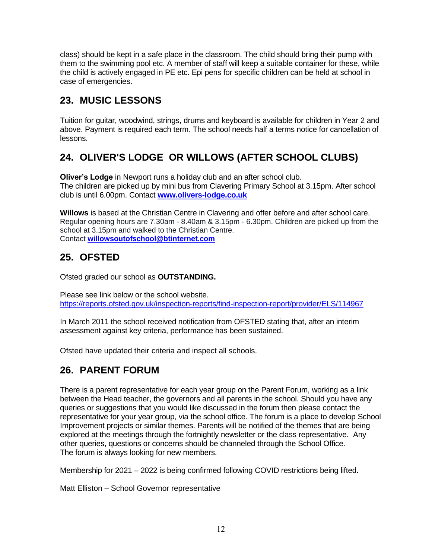class) should be kept in a safe place in the classroom. The child should bring their pump with them to the swimming pool etc. A member of staff will keep a suitable container for these, while the child is actively engaged in PE etc. Epi pens for specific children can be held at school in case of emergencies.

### <span id="page-11-0"></span>**23. MUSIC LESSONS**

Tuition for guitar, woodwind, strings, drums and keyboard is available for children in Year 2 and above. Payment is required each term. The school needs half a terms notice for cancellation of lessons.

# <span id="page-11-1"></span>**24. OLIVER'S LODGE OR WILLOWS (AFTER SCHOOL CLUBS)**

**Oliver's Lodge** in Newport runs a holiday club and an after school club. The children are picked up by mini bus from Clavering Primary School at 3.15pm. After school club is until 6.00pm. Contact **[www.olivers-lodge.co.uk](http://www.olivers-lodge.co.uk/)**

**Willows** is based at the Christian Centre in Clavering and offer before and after school care. Regular opening hours are 7.30am - 8.40am & 3.15pm - 6.30pm. Children are picked up from the school at 3.15pm and walked to the Christian Centre. Contact **[willowsoutofschool@btinternet.com](mailto:willowsoutofschool@btinternet.com)**

### **25. OFSTED**

Ofsted graded our school as **OUTSTANDING.**

Please see link below or the school website. <https://reports.ofsted.gov.uk/inspection-reports/find-inspection-report/provider/ELS/114967>

In March 2011 the school received notification from OFSTED stating that, after an interim assessment against key criteria, performance has been sustained.

<span id="page-11-2"></span>Ofsted have updated their criteria and inspect all schools.

### **26. PARENT FORUM**

There is a parent representative for each year group on the Parent Forum, working as a link between the Head teacher, the governors and all parents in the school. Should you have any queries or suggestions that you would like discussed in the forum then please contact the representative for your year group, via the school office. The forum is a place to develop School Improvement projects or similar themes. Parents will be notified of the themes that are being explored at the meetings through the fortnightly newsletter or the class representative. Any other queries, questions or concerns should be channeled through the School Office. The forum is always looking for new members.

Membership for 2021 – 2022 is being confirmed following COVID restrictions being lifted.

Matt Elliston – School Governor representative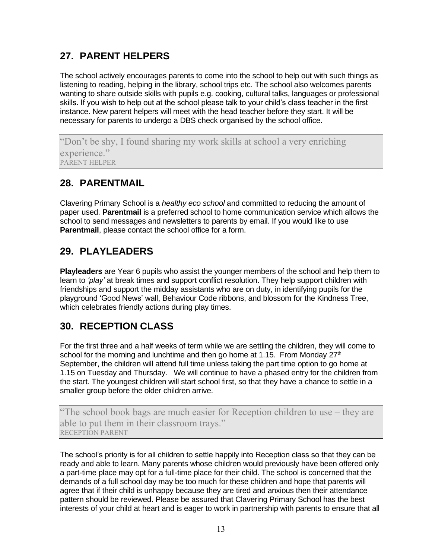# <span id="page-12-0"></span>**27. PARENT HELPERS**

The school actively encourages parents to come into the school to help out with such things as listening to reading, helping in the library, school trips etc. The school also welcomes parents wanting to share outside skills with pupils e.g. cooking, cultural talks, languages or professional skills. If you wish to help out at the school please talk to your child's class teacher in the first instance. New parent helpers will meet with the head teacher before they start. It will be necessary for parents to undergo a DBS check organised by the school office.

"Don't be shy, I found sharing my work skills at school a very enriching experience." PARENT HELPER

### <span id="page-12-1"></span>**28. PARENTMAIL**

Clavering Primary School is a *healthy eco school* and committed to reducing the amount of paper used. **Parentmail** is a preferred school to home communication service which allows the school to send messages and newsletters to parents by email. If you would like to use **Parentmail**, please contact the school office for a form.

# <span id="page-12-2"></span>**29. PLAYLEADERS**

**Playleaders** are Year 6 pupils who assist the younger members of the school and help them to learn to *'play'* at break times and support conflict resolution. They help support children with friendships and support the midday assistants who are on duty, in identifying pupils for the playground 'Good News' wall, Behaviour Code ribbons, and blossom for the Kindness Tree, which celebrates friendly actions during play times.

### <span id="page-12-3"></span>**30. RECEPTION CLASS**

For the first three and a half weeks of term while we are settling the children, they will come to school for the morning and lunchtime and then go home at 1.15. From Monday 27<sup>th</sup> September, the children will attend full time unless taking the part time option to go home at 1.15 on Tuesday and Thursday. We will continue to have a phased entry for the children from the start. The youngest children will start school first, so that they have a chance to settle in a smaller group before the older children arrive.

"The school book bags are much easier for Reception children to use – they are able to put them in their classroom trays." RECEPTION PARENT

The school's priority is for all children to settle happily into Reception class so that they can be ready and able to learn. Many parents whose children would previously have been offered only a part-time place may opt for a full-time place for their child. The school is concerned that the demands of a full school day may be too much for these children and hope that parents will agree that if their child is unhappy because they are tired and anxious then their attendance pattern should be reviewed. Please be assured that Clavering Primary School has the best interests of your child at heart and is eager to work in partnership with parents to ensure that all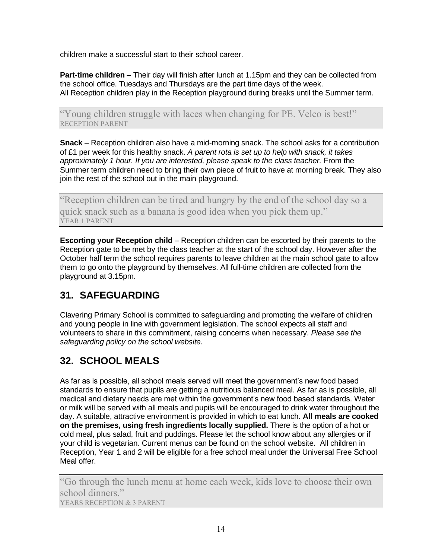children make a successful start to their school career.

**Part-time children** – Their day will finish after lunch at 1.15pm and they can be collected from the school office. Tuesdays and Thursdays are the part time days of the week. All Reception children play in the Reception playground during breaks until the Summer term.

"Young children struggle with laces when changing for PE. Velco is best!" RECEPTION PARENT

**Snack** – Reception children also have a mid-morning snack. The school asks for a contribution of £1 per week for this healthy snack. *A parent rota is set up to help with snack, it takes approximately 1 hour. If you are interested, please speak to the class teacher.* From the Summer term children need to bring their own piece of fruit to have at morning break. They also join the rest of the school out in the main playground.

"Reception children can be tired and hungry by the end of the school day so a quick snack such as a banana is good idea when you pick them up." YEAR 1 PARENT

**Escorting your Reception child** – Reception children can be escorted by their parents to the Reception gate to be met by the class teacher at the start of the school day. However after the October half term the school requires parents to leave children at the main school gate to allow them to go onto the playground by themselves. All full-time children are collected from the playground at 3.15pm.

# <span id="page-13-0"></span>**31. SAFEGUARDING**

Clavering Primary School is committed to safeguarding and promoting the welfare of children and young people in line with government legislation. The school expects all staff and volunteers to share in this commitment, raising concerns when necessary. *Please see the safeguarding policy on the school website.*

# <span id="page-13-1"></span>**32. SCHOOL MEALS**

As far as is possible, all school meals served will meet the government's new food based standards to ensure that pupils are getting a nutritious balanced meal. As far as is possible, all medical and dietary needs are met within the government's new food based standards. Water or milk will be served with all meals and pupils will be encouraged to drink water throughout the day. A suitable, attractive environment is provided in which to eat lunch. **All meals are cooked on the premises, using fresh ingredients locally supplied.** There is the option of a hot or cold meal, plus salad, fruit and puddings. Please let the school know about any allergies or if your child is vegetarian. Current menus can be found on the school website. All children in Reception, Year 1 and 2 will be eligible for a free school meal under the Universal Free School Meal offer.

"Go through the lunch menu at home each week, kids love to choose their own school dinners." YEARS RECEPTION & 3 PARENT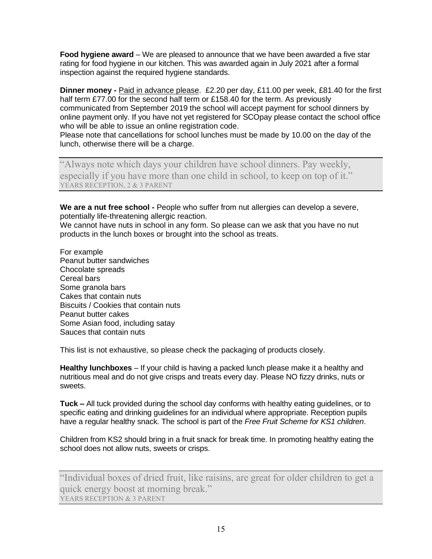**Food hygiene award** – We are pleased to announce that we have been awarded a five star rating for food hygiene in our kitchen. This was awarded again in July 2021 after a formal inspection against the required hygiene standards.

**Dinner money -** Paid in advance please. £2.20 per day, £11.00 per week, £81.40 for the first half term £77.00 for the second half term or £158.40 for the term. As previously communicated from September 2019 the school will accept payment for school dinners by online payment only. If you have not yet registered for SCOpay please contact the school office who will be able to issue an online registration code.

Please note that cancellations for school lunches must be made by 10.00 on the day of the lunch, otherwise there will be a charge.

"Always note which days your children have school dinners. Pay weekly, especially if you have more than one child in school, to keep on top of it." YEARS RECEPTION, 2 & 3 PARENT

**We are a nut free school -** People who suffer from nut allergies can develop a severe, potentially life-threatening allergic reaction.

We cannot have nuts in school in any form. So please can we ask that you have no nut products in the lunch boxes or brought into the school as treats.

For example Peanut butter sandwiches Chocolate spreads Cereal bars Some granola bars Cakes that contain nuts Biscuits / Cookies that contain nuts Peanut butter cakes Some Asian food, including satay Sauces that contain nuts

This list is not exhaustive, so please check the packaging of products closely.

**Healthy lunchboxes** – If your child is having a packed lunch please make it a healthy and nutritious meal and do not give crisps and treats every day. Please NO fizzy drinks, nuts or sweets.

**Tuck –** All tuck provided during the school day conforms with healthy eating guidelines, or to specific eating and drinking guidelines for an individual where appropriate. Reception pupils have a regular healthy snack. The school is part of the *Free Fruit Scheme for KS1 children*.

Children from KS2 should bring in a fruit snack for break time. In promoting healthy eating the school does not allow nuts, sweets or crisps.

"Individual boxes of dried fruit, like raisins, are great for older children to get a quick energy boost at morning break." YEARS RECEPTION & 3 PARENT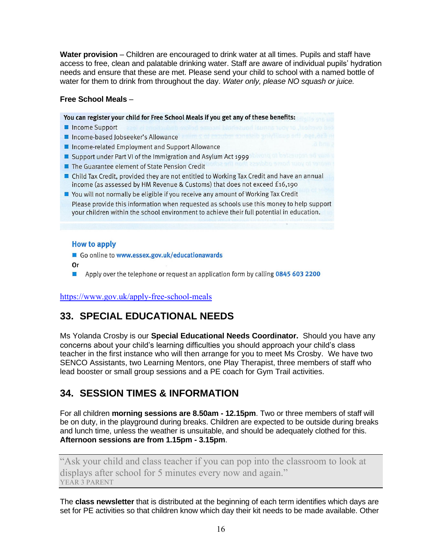Water provision – Children are encouraged to drink water at all times. Pupils and staff have access to free, clean and palatable drinking water. Staff are aware of individual pupils' hydration needs and ensure that these are met. Please send your child to school with a named bottle of water for them to drink from throughout the day. *Water only, please NO squash or juice.*

#### **Free School Meals** –

You can register your child for Free School Meals if you get any of these benefits:

- Income Support
- Income-based Jobseeker's Allowance
- Income-related Employment and Support Allowance
- Support under Part VI of the Immigration and Asylum Act 1999
- The Guarantee element of State Pension Credit
- Child Tax Credit, provided they are not entitled to Working Tax Credit and have an annual income (as assessed by HM Revenue & Customs) that does not exceed £16,190
- You will not normally be eligible if you receive any amount of Working Tax Credit Please provide this information when requested as schools use this money to help support your children within the school environment to achieve their full potential in education.

#### **How to apply**

Go online to www.essex.gov.uk/educationawards

- **Or**
- Apply over the telephone or request an application form by calling 0845 603 2200  $\mathcal{L}_{\mathcal{A}}$

<https://www.gov.uk/apply-free-school-meals>

### <span id="page-15-0"></span>**33. SPECIAL EDUCATIONAL NEEDS**

Ms Yolanda Crosby is our **Special Educational Needs Coordinator.** Should you have any concerns about your child's learning difficulties you should approach your child's class teacher in the first instance who will then arrange for you to meet Ms Crosby. We have two SENCO Assistants, two Learning Mentors, one Play Therapist, three members of staff who lead booster or small group sessions and a PE coach for Gym Trail activities.

### <span id="page-15-1"></span>**34. SESSION TIMES & INFORMATION**

For all children **morning sessions are 8.50am - 12.15pm**. Two or three members of staff will be on duty, in the playground during breaks. Children are expected to be outside during breaks and lunch time, unless the weather is unsuitable, and should be adequately clothed for this. **Afternoon sessions are from 1.15pm - 3.15pm**.

"Ask your child and class teacher if you can pop into the classroom to look at displays after school for 5 minutes every now and again." YEAR 3 PARENT

The **class newsletter** that is distributed at the beginning of each term identifies which days are set for PE activities so that children know which day their kit needs to be made available. Other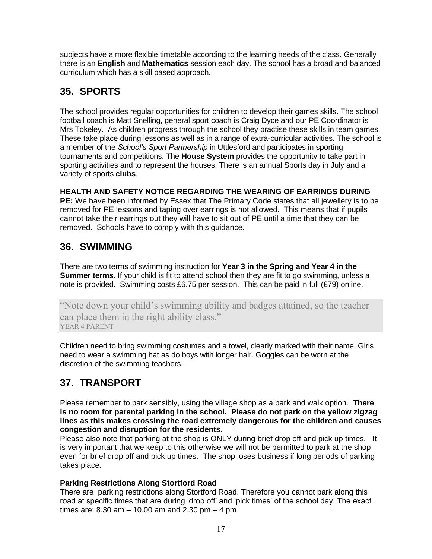subjects have a more flexible timetable according to the learning needs of the class. Generally there is an **English** and **Mathematics** session each day. The school has a broad and balanced curriculum which has a skill based approach.

### <span id="page-16-0"></span>**35. SPORTS**

The school provides regular opportunities for children to develop their games skills. The school football coach is Matt Snelling, general sport coach is Craig Dyce and our PE Coordinator is Mrs Tokeley. As children progress through the school they practise these skills in team games. These take place during lessons as well as in a range of extra-curricular activities. The school is a member of the *School's Sport Partnership* in Uttlesford and participates in sporting tournaments and competitions. The **House System** provides the opportunity to take part in sporting activities and to represent the houses. There is an annual Sports day in July and a variety of sports **clubs**.

#### **HEALTH AND SAFETY NOTICE REGARDING THE WEARING OF EARRINGS DURING**

**PE:** We have been informed by Essex that The Primary Code states that all jewellery is to be removed for PE lessons and taping over earrings is not allowed. This means that if pupils cannot take their earrings out they will have to sit out of PE until a time that they can be removed. Schools have to comply with this guidance.

### <span id="page-16-1"></span>**36. SWIMMING**

There are two terms of swimming instruction for **Year 3 in the Spring and Year 4 in the Summer terms**. If your child is fit to attend school then they are fit to go swimming, unless a note is provided. Swimming costs £6.75 per session. This can be paid in full (£79) online.

"Note down your child's swimming ability and badges attained, so the teacher can place them in the right ability class." YEAR 4 PARENT

Children need to bring swimming costumes and a towel, clearly marked with their name. Girls need to wear a swimming hat as do boys with longer hair. Goggles can be worn at the discretion of the swimming teachers.

# <span id="page-16-2"></span>**37. TRANSPORT**

Please remember to park sensibly, using the village shop as a park and walk option. **There is no room for parental parking in the school. Please do not park on the yellow zigzag lines as this makes crossing the road extremely dangerous for the children and causes congestion and disruption for the residents.**

Please also note that parking at the shop is ONLY during brief drop off and pick up times. It is very important that we keep to this otherwise we will not be permitted to park at the shop even for brief drop off and pick up times. The shop loses business if long periods of parking takes place.

#### **Parking Restrictions Along Stortford Road**

There are parking restrictions along Stortford Road. Therefore you cannot park along this road at specific times that are during 'drop off' and 'pick times' of the school day. The exact times are: 8.30 am  $-$  10.00 am and 2.30 pm  $-$  4 pm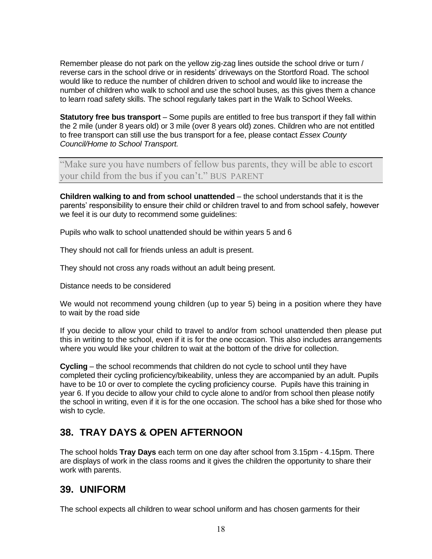Remember please do not park on the yellow zig-zag lines outside the school drive or turn / reverse cars in the school drive or in residents' driveways on the Stortford Road. The school would like to reduce the number of children driven to school and would like to increase the number of children who walk to school and use the school buses, as this gives them a chance to learn road safety skills. The school regularly takes part in the Walk to School Weeks.

**Statutory free bus transport** – Some pupils are entitled to free bus transport if they fall within the 2 mile (under 8 years old) or 3 mile (over 8 years old) zones. Children who are not entitled to free transport can still use the bus transport for a fee, please contact *Essex County Council/Home to School Transport.*

"Make sure you have numbers of fellow bus parents, they will be able to escort your child from the bus if you can't." BUS PARENT

**Children walking to and from school unattended** – the school understands that it is the parents' responsibility to ensure their child or children travel to and from school safely, however we feel it is our duty to recommend some quidelines:

Pupils who walk to school unattended should be within years 5 and 6

They should not call for friends unless an adult is present.

They should not cross any roads without an adult being present.

Distance needs to be considered

We would not recommend young children (up to year 5) being in a position where they have to wait by the road side

If you decide to allow your child to travel to and/or from school unattended then please put this in writing to the school, even if it is for the one occasion. This also includes arrangements where you would like your children to wait at the bottom of the drive for collection.

**Cycling** – the school recommends that children do not cycle to school until they have completed their cycling proficiency/bikeability, unless they are accompanied by an adult. Pupils have to be 10 or over to complete the cycling proficiency course. Pupils have this training in year 6. If you decide to allow your child to cycle alone to and/or from school then please notify the school in writing, even if it is for the one occasion. The school has a bike shed for those who wish to cycle.

### <span id="page-17-0"></span>**38. TRAY DAYS & OPEN AFTERNOON**

The school holds **Tray Days** each term on one day after school from 3.15pm - 4.15pm. There are displays of work in the class rooms and it gives the children the opportunity to share their work with parents.

#### <span id="page-17-1"></span>**39. UNIFORM**

The school expects all children to wear school uniform and has chosen garments for their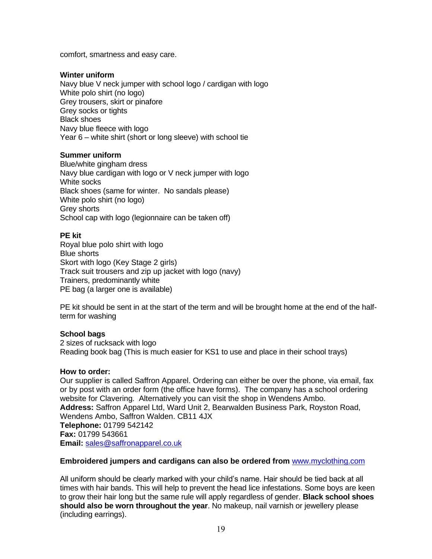comfort, smartness and easy care.

#### **Winter uniform**

Navy blue V neck jumper with school logo / cardigan with logo White polo shirt (no logo) Grey trousers, skirt or pinafore Grey socks or tights Black shoes Navy blue fleece with logo Year 6 – white shirt (short or long sleeve) with school tie

#### **Summer uniform**

Blue/white gingham dress Navy blue cardigan with logo or V neck jumper with logo White socks Black shoes (same for winter. No sandals please) White polo shirt (no logo) Grey shorts School cap with logo (legionnaire can be taken off)

#### **PE kit**

Royal blue polo shirt with logo Blue shorts Skort with logo (Key Stage 2 girls) Track suit trousers and zip up jacket with logo (navy) Trainers, predominantly white PE bag (a larger one is available)

PE kit should be sent in at the start of the term and will be brought home at the end of the halfterm for washing

#### **School bags**

2 sizes of rucksack with logo Reading book bag (This is much easier for KS1 to use and place in their school trays)

#### **How to order:**

Our supplier is called Saffron Apparel. Ordering can either be over the phone, via email, fax or by post with an order form (the office have forms). The company has a school ordering website for Clavering. Alternatively you can visit the shop in Wendens Ambo. **Address:** Saffron Apparel Ltd, Ward Unit 2, Bearwalden Business Park, Royston Road, Wendens Ambo, Saffron Walden. CB11 4JX **Telephone:** 01799 542142 **Fax:** 01799 543661 **Email:** [sales@saffronapparel.co.uk](mailto:sales@saffronapparel.co.uk)

#### **Embroidered jumpers and cardigans can also be ordered from** www.myclothing.com

All uniform should be clearly marked with your child's name. Hair should be tied back at all times with hair bands. This will help to prevent the head lice infestations. Some boys are keen to grow their hair long but the same rule will apply regardless of gender. **Black school shoes should also be worn throughout the year**. No makeup, nail varnish or jewellery please (including earrings).